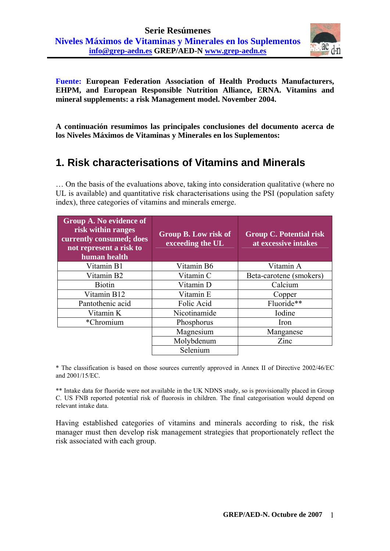

**Fuente: European Federation Association of Health Products Manufacturers, EHPM, and European Responsible Nutrition Alliance, ERNA. Vitamins and mineral supplements: a risk Management model. November 2004.** 

**A continuación resumimos las principales conclusiones del documento acerca de los Niveles Máximos de Vitaminas y Minerales en los Suplementos:** 

## **1. Risk characterisations of Vitamins and Minerals**

… On the basis of the evaluations above, taking into consideration qualitative (where no UL is available) and quantitative risk characterisations using the PSI (population safety index), three categories of vitamins and minerals emerge.

| <b>Group A. No evidence of</b><br>risk within ranges<br>currently consumed; does<br>not represent a risk to<br>human health | Group B. Low risk of<br>exceeding the UL | <b>Group C. Potential risk</b><br>at excessive intakes |
|-----------------------------------------------------------------------------------------------------------------------------|------------------------------------------|--------------------------------------------------------|
| Vitamin B1                                                                                                                  | Vitamin B6                               | Vitamin A                                              |
| Vitamin B2                                                                                                                  | Vitamin C                                | Beta-carotene (smokers)                                |
| <b>Biotin</b>                                                                                                               | Vitamin D                                | Calcium                                                |
| Vitamin B12                                                                                                                 | Vitamin E                                | Copper                                                 |
| Pantothenic acid                                                                                                            | Folic Acid                               | Fluoride**                                             |
| Vitamin K                                                                                                                   | Nicotinamide                             | Iodine                                                 |
| *Chromium                                                                                                                   | Phosphorus                               | Iron                                                   |
|                                                                                                                             | Magnesium                                | Manganese                                              |
|                                                                                                                             | Molybdenum                               | Zinc                                                   |
|                                                                                                                             | Selenium                                 |                                                        |

\* The classification is based on those sources currently approved in Annex II of Directive 2002/46/EC and 2001/15/EC.

\*\* Intake data for fluoride were not available in the UK NDNS study, so is provisionally placed in Group C. US FNB reported potential risk of fluorosis in children. The final categorisation would depend on relevant intake data.

Having established categories of vitamins and minerals according to risk, the risk manager must then develop risk management strategies that proportionately reflect the risk associated with each group.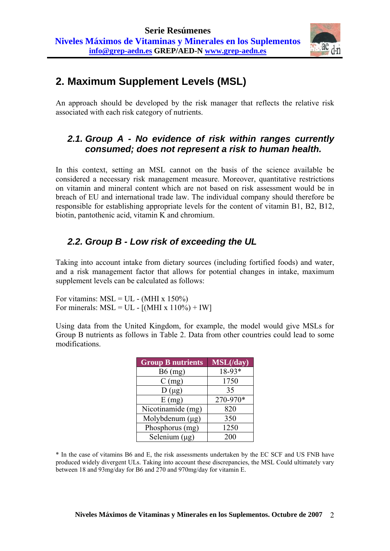

# **2. Maximum Supplement Levels (MSL)**

An approach should be developed by the risk manager that reflects the relative risk associated with each risk category of nutrients.

### *2.1. Group A - No evidence of risk within ranges currently consumed; does not represent a risk to human health.*

In this context, setting an MSL cannot on the basis of the science available be considered a necessary risk management measure. Moreover, quantitative restrictions on vitamin and mineral content which are not based on risk assessment would be in breach of EU and international trade law. The individual company should therefore be responsible for establishing appropriate levels for the content of vitamin B1, B2, B12, biotin, pantothenic acid, vitamin K and chromium.

## *2.2. Group B - Low risk of exceeding the UL*

Taking into account intake from dietary sources (including fortified foods) and water, and a risk management factor that allows for potential changes in intake, maximum supplement levels can be calculated as follows:

For vitamins:  $MSL = UL - (MHI \times 150\%)$ For minerals:  $MSL = UL - [(MHI x 110\%) + IW]$ 

Using data from the United Kingdom, for example, the model would give MSLs for Group B nutrients as follows in Table 2. Data from other countries could lead to some modifications.

| <b>Group B nutrients</b> | MSL(day) |
|--------------------------|----------|
| $B6$ (mg)                | $18-93*$ |
| $C$ (mg)                 | 1750     |
| $D(\mu g)$               | 35       |
| E(mg)                    | 270-970* |
| Nicotinamide (mg)        | 820      |
| Molybdenum $(\mu g)$     | 350      |
| Phosphorus (mg)          | 1250     |
| Selenium $(\mu g)$       | 200      |

\* In the case of vitamins B6 and E, the risk assessments undertaken by the EC SCF and US FNB have produced widely divergent ULs. Taking into account these discrepancies, the MSL Could ultimately vary between 18 and 93mg/day for B6 and 270 and 970mg/day for vitamin E.